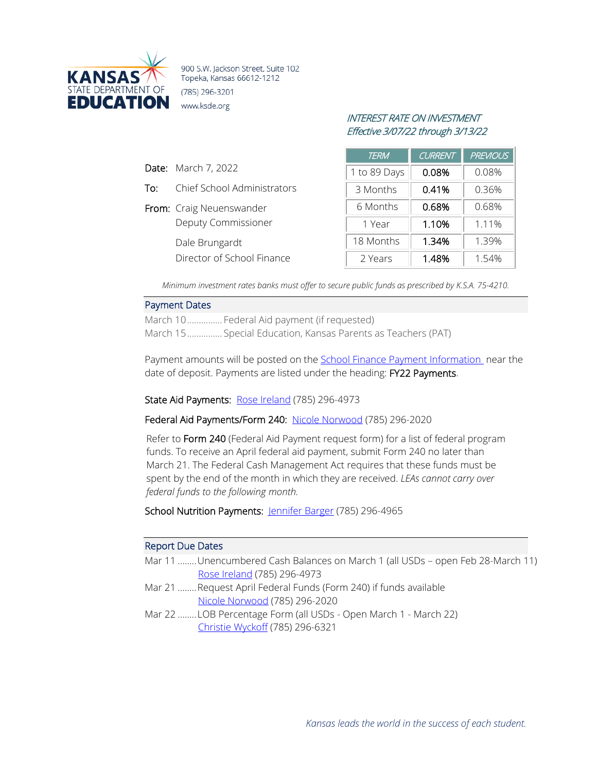

900 S.W. Jackson Street, Suite 102 Topeka, Kansas 66612-1212 (785) 296-3201 www.ksde.org

# INTEREST RATE ON INVESTMENT Effective 3/07/22 through 3/13/22

|     |                             | <b>TERM</b>  | <b>CURRENT</b> | <b>PREVIOUS</b> |
|-----|-----------------------------|--------------|----------------|-----------------|
|     | <b>Date:</b> March 7, 2022  | 1 to 89 Days | 0.08%          | 0.08%           |
| To: | Chief School Administrators | 3 Months     | 0.41%          | 0.36%           |
|     | From: Craig Neuenswander    | 6 Months     | 0.68%          | 0.68%           |
|     | Deputy Commissioner         | 1 Year       | 1.10%          | 1.11%           |
|     | Dale Brungardt              | 18 Months    | 1.34%          | 1.39%           |
|     | Director of School Finance  | 2 Years      | 1.48%          | 1.54%           |

*Minimum investment rates banks must offer to secure public funds as prescribed by K.S.A. 75-4210.*

### Payment Dates

March 10............... Federal Aid payment (if requested) March 15............... Special Education, Kansas Parents as Teachers (PAT)

Payment amounts will be posted on the School Finance [Payment Information](http://www.ksde.org/Agency/Fiscal-and-Administrative-Services/School-Finance/Payment-Information), near the date of deposit. Payments are listed under the heading: FY22 Payments.

State Aid Payments: [Rose Ireland](mailto:rireland@ksde.org) (785) 296-4973

Federal Aid Payments/Form 240: [Nicole Norwood](mailto:nnorwood@ksde.org) (785) 296-2020

Refer to Form 240 (Federal Aid Payment request form) for a list of federal program funds. To receive an April federal aid payment, submit Form 240 no later than March 21. The Federal Cash Management Act requires that these funds must be spent by the end of the month in which they are received. *LEAs cannot carry over federal funds to the following month.*

School Nutrition Payments: [Jennifer Barger](mailto:jbarger@ksde.org) (785) 296-4965

#### Report Due Dates

- Mar 11 ........Unencumbered Cash Balances on March 1 (all USDs open Feb 28-March 11) [Rose Ireland](mailto:rireland@ksde.org) (785) 296-4973
- Mar 21 ........Request April Federal Funds (Form 240) if funds available [Nicole Norwood](mailto:nnorwood@ksde.org) (785) 296-2020
- Mar 22 ........LOB Percentage Form (all USDs Open March 1 March 22) [Christie Wyckoff](mailto:cwyckoff@ksde.org) (785) 296-6321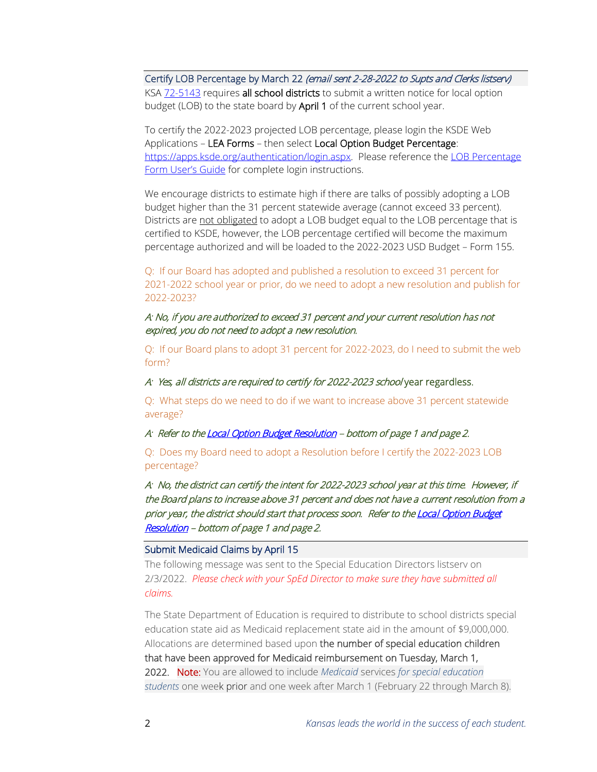Certify LOB Percentage by March 22 (email sent 2-28-2022 to Supts and Clerks listsery) KSA [72-5143](http://ksrevisor.org/statutes/chapters/ch72/072_051_0043.html) requires all school districts to submit a written notice for local option budget (LOB) to the state board by April 1 of the current school year.

To certify the 2022-2023 projected LOB percentage, please login the KSDE Web Applications – LEA Forms – then select Local Option Budget Percentage: [https://apps.ksde.org/authentication/login.aspx.](https://apps.ksde.org/authentication/login.aspx) Please reference the LOB Percentage [Form User's Guide](https://www.ksde.org/Agency/Fiscal-and-Administrative-Services/School-Finance/Guidelines-and-Manuals) for complete login instructions.

We encourage districts to estimate high if there are talks of possibly adopting a LOB budget higher than the 31 percent statewide average (cannot exceed 33 percent). Districts are not obligated to adopt a LOB budget equal to the LOB percentage that is certified to KSDE, however, the LOB percentage certified will become the maximum percentage authorized and will be loaded to the 2022-2023 USD Budget – Form 155.

Q: If our Board has adopted and published a resolution to exceed 31 percent for 2021-2022 school year or prior, do we need to adopt a new resolution and publish for 2022-2023?

# A: No, if you are authorized to exceed 31 percent and your current resolution has not expired, you do not need to adopt a new resolution.

Q: If our Board plans to adopt 31 percent for 2022-2023, do I need to submit the web form?

A: Yes, all districts are required to certify for 2022-2023 school year regardless.

Q: What steps do we need to do if we want to increase above 31 percent statewide average?

A: Refer to th[e Local Option Budget Resolution](https://www.ksde.org/Portals/0/School%20Finance/budget/Online%20Budget%20Packet/LOB%20Resolution.pdf?ver=2021-12-17-104455-937) – bottom of page 1 and page 2.

Q: Does my Board need to adopt a Resolution before I certify the 2022-2023 LOB percentage?

A: No, the district can certify the intent for 2022-2023 school year at this time. However, if the Board plans to increase above 31 percent and does not have a current resolution from a prior year, the district should start that process soon. Refer to the Local Option Budget [Resolution](https://www.ksde.org/Portals/0/School%20Finance/budget/Online%20Budget%20Packet/LOB%20Resolution.pdf?ver=2021-12-17-104455-937) – bottom of page 1 and page 2.

## Submit Medicaid Claims by April 15

The following message was sent to the Special Education Directors listserv on 2/3/2022. *Please check with your SpEd Director to make sure they have submitted all claims.*

The State Department of Education is required to distribute to school districts special education state aid as Medicaid replacement state aid in the amount of \$9,000,000. Allocations are determined based upon the number of special education children that have been approved for Medicaid reimbursement on Tuesday, March 1, 2022. Note: You are allowed to include *Medicaid* services *for special education students* one week prior and one week after March 1 (February 22 through March 8).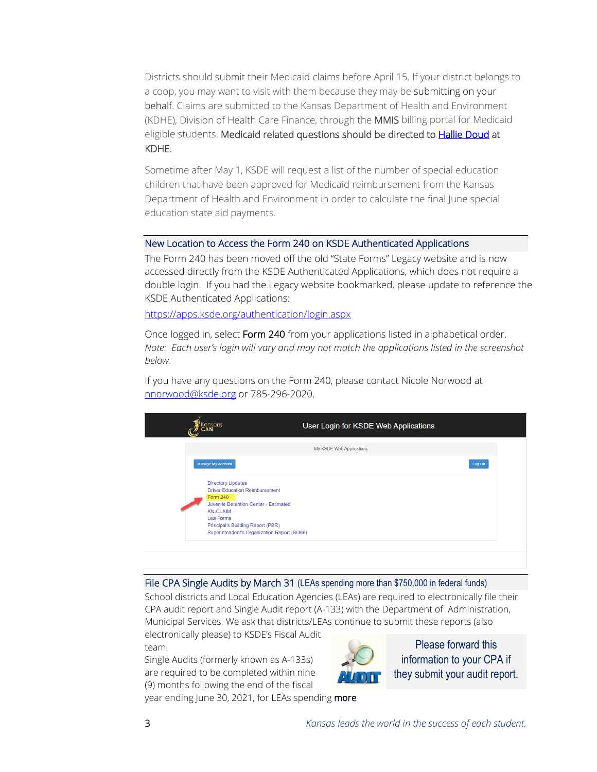Districts should submit their Medicaid claims before April 15. If your district belongs to a coop, you may want to visit with them because they may be submitting on your behalf. Claims are submitted to the Kansas Department of Health and Environment (KDHE), Division of Health Care Finance, through the MMIS billing portal for Medicaid eligible students. Medicaid related questions should be directed t[o Hallie Doud](mailto:Hallie.Doud@ks.gov) at KDHE.

Sometime after May 1, KSDE will request a list of the number of special education children that have been approved for Medicaid reimbursement from the Kansas Department of Health and Environment in order to calculate the final June special education state aid payments.

## New Location to Access the Form 240 on KSDE Authenticated Applications

The Form 240 has been moved off the old "State Forms" Legacy website and is now accessed directly from the KSDE Authenticated Applications, which does not require a double login. If you had the Legacy website bookmarked, please update to reference the KSDE Authenticated Applications:

<https://apps.ksde.org/authentication/login.aspx>

Once logged in, select Form 240 from your applications listed in alphabetical order. *Note: Each user's login will vary and may not match the applications listed in the screenshot below*.

If you have any questions on the Form 240, please contact Nicole Norwood at [nnorwood@ksde.org](mailto:nnorwood@ksde.org) or 785-296-2020.

| iansans<br>User Login for KSDE Web Applications                                                                                                                                                                                                   |
|---------------------------------------------------------------------------------------------------------------------------------------------------------------------------------------------------------------------------------------------------|
| My KSDE Web Applications                                                                                                                                                                                                                          |
| Manage My Account<br>Log Off                                                                                                                                                                                                                      |
| <b>Directory Updates</b><br><b>Driver Education Reimbursement</b><br><b>Form 240</b><br>Juvenile Detention Center - Estimated<br><b>KN-CLAIM</b><br>Lea Forms<br>Principal's Building Report (PBR)<br>Superintendent's Organization Report (SO66) |
|                                                                                                                                                                                                                                                   |

### File CPA Single Audits by March 31 (LEAs spending more than \$750,000 in federal funds)

School districts and Local Education Agencies (LEAs) are required to electronically file their CPA audit report and Single Audit report (A-133) with the Department of Administration, Municipal Services. We ask that districts/LEAs continue to submit these reports (also

electronically please) to KSDE's Fiscal Audit team.

Single Audits (formerly known as A-133s) are required to be completed within nine (9) months following the end of the fiscal



Please forward this information to your CPA if they submit your audit report.

year ending June 30, 2021, for LEAs spending more